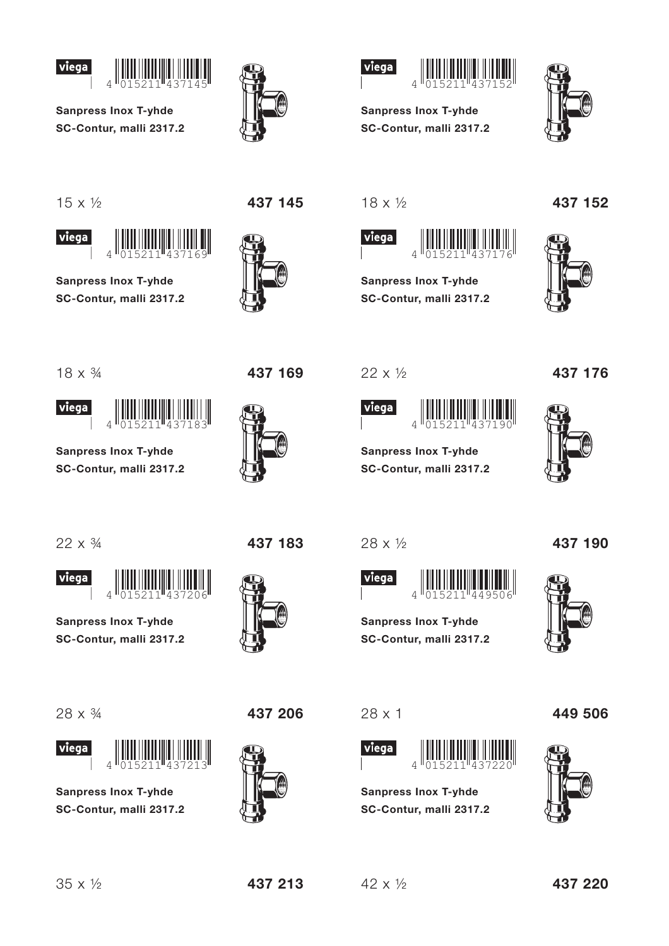



**Sanpress Inox T-yhde** SC-Contur, malli 2317.2





**Sanpress Inox T-yhde** SC-Contur, malli 2317.2



 $15 \times \frac{1}{2}$ 

viega



**Sanpress Inox T-yhde** SC-Contur, malli 2317.2





 $18 \times \frac{1}{2}$ 



**Sanpress Inox T-yhde** SC-Contur, malli 2317.2





 $18 \times \frac{3}{4}$ 





**Sanpress Inox T-yhde** SC-Contur, malli 2317.2



437 169

 $22 \times 1/2$ 



**Sanpress Inox T-yhde** SC-Contur, malli 2317.2





 $22 \times \frac{3}{4}$ 



**Sanpress Inox T-yhde** SC-Contur, malli 2317.2

 $\Delta$ 





**Sanpress Inox T-yhde** SC-Contur. malli 2317.2





437 206

28 x 1/2





437 190

**Sanpress Inox T-yhde** SC-Contur, malli 2317.2

 $28 \times 1$ 



**Sanpress Inox T-yhde** SC-Contur, malli 2317.2





437 213